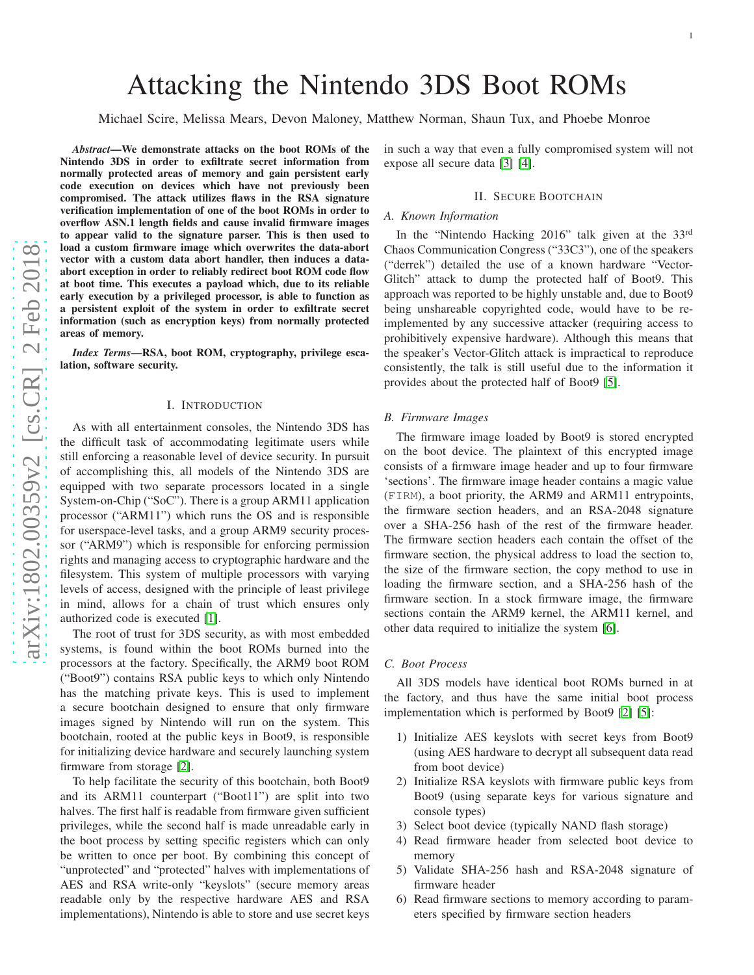# Attacking the Nintendo 3DS Boot ROMs

Michael Scire, Melissa Mears, Devon Maloney, Matthew Norman, Shaun Tux, and Phoebe Monroe

*Abstract*—We demonstrate attacks on the boot ROMs of the Nintendo 3DS in order to exfiltrate secret information from normally protected areas of memory and gain persistent earl y code execution on devices which have not previously been compromised. The attack utilizes flaws in the RSA signature verification implementation of one of the boot ROMs in order t o overflow ASN.1 length fields and cause invalid firmware images to appear valid to the signature parser. This is then used to load a custom firmware image which overwrites the data-abort vector with a custom data abort handler, then induces a dataabort exception in order to reliably redirect boot ROM code flow at boot time. This executes a payload which, due to its reliable early execution by a privileged processor, is able to function as a persistent exploit of the system in order to exfiltrate secret information (such as encryption keys) from normally protected areas of memory.

*Index Terms*—RSA, boot ROM, cryptography, privilege escalation, software security.

#### I. INTRODUCTION

As with all entertainment consoles, the Nintendo 3DS has the difficult task of accommodating legitimate users while still enforcing a reasonable level of device security. In pursuit of accomplishing this, all models of the Nintendo 3DS are equipped with two separate processors located in a single System-on-Chip ("SoC"). There is a group ARM11 application processor ("ARM11") which runs the OS and is responsible for userspace-level tasks, and a group ARM9 security proces sor ("ARM9") which is responsible for enforcing permission rights and managing access to cryptographic hardware and th e filesystem. This system of multiple processors with varying levels of access, designed with the principle of least privilege in mind, allows for a chain of trust which ensures only authorized code is executed [\[1\]](#page-4-0).

The root of trust for 3DS security, as with most embedded systems, is found within the boot ROMs burned into the processors at the factory. Specifically, the ARM9 boot ROM ("Boot9") contains RSA public keys to which only Nintendo has the matching private keys. This is used to implement a secure bootchain designed to ensure that only firmware images signed by Nintendo will run on the system. This bootchain, rooted at the public keys in Boot9, is responsibl e for initializing device hardware and securely launching system firmware from storage [\[2\]](#page-4-1).

To help facilitate the security of this bootchain, both Boot 9 and its ARM11 counterpart ("Boot11") are split into two halves. The first half is readable from firmware given sufficient privileges, while the second half is made unreadable early i n the boot process by setting specific registers which can only be written to once per boot. By combining this concept of "unprotected" and "protected" halves with implementations of AES and RSA write-only "keyslots" (secure memory areas readable only by the respective hardware AES and RSA implementations), Nintendo is able to store and use secret keys in such a way that even a fully compromised system will not expose all secure data [\[3\]](#page-4-2) [\[4\]](#page-4-3).

# II. SECURE BOOTCHAIN

# *A. Known Information*

In the "Nintendo Hacking 2016" talk given at the 33rd Chaos Communication Congress ("33C3"), one of the speakers ("derrek") detailed the use of a known hardware "Vector-Glitch" attack to dump the protected half of Boot9. This approach was reported to be highly unstable and, due to Boot9 being unshareable copyrighted code, would have to be reimplemented by any successive attacker (requiring access to prohibitively expensive hardware). Although this means that the speaker's Vector-Glitch attack is impractical to reproduce consistently, the talk is still useful due to the information it provides about the protected half of Boot9 [\[5\]](#page-4-4).

## *B. Firmware Images*

The firmware image loaded by Boot9 is stored encrypted on the boot device. The plaintext of this encrypted image consists of a firmware image header and up to four firmware 'sections'. The firmware image header contains a magic value (FIRM), a boot priority, the ARM9 and ARM11 entrypoints, the firmware section headers, and an RSA-2048 signature over a SHA-256 hash of the rest of the firmware header. The firmware section headers each contain the offset of the firmware section, the physical address to load the section to, the size of the firmware section, the copy method to use in loading the firmware section, and a SHA-256 hash of the firmware section. In a stock firmware image, the firmware sections contain the ARM9 kernel, the ARM11 kernel, and other data required to initialize the system [\[6\]](#page-4-5).

# *C. Boot Process*

All 3DS models have identical boot ROMs burned in at the factory, and thus have the same initial boot process implementation which is performed by Boot9 [\[2\]](#page-4-1) [\[5\]](#page-4-4):

- 1) Initialize AES keyslots with secret keys from Boot9 (using AES hardware to decrypt all subsequent data read from boot device)
- 2) Initialize RSA keyslots with firmware public keys from Boot9 (using separate keys for various signature and console types)
- 3) Select boot device (typically NAND flash storage)
- 4) Read firmware header from selected boot device to memory
- 5) Validate SHA-256 hash and RSA-2048 signature of firmware header
- 6) Read firmware sections to memory according to parameters specified by firmware section headers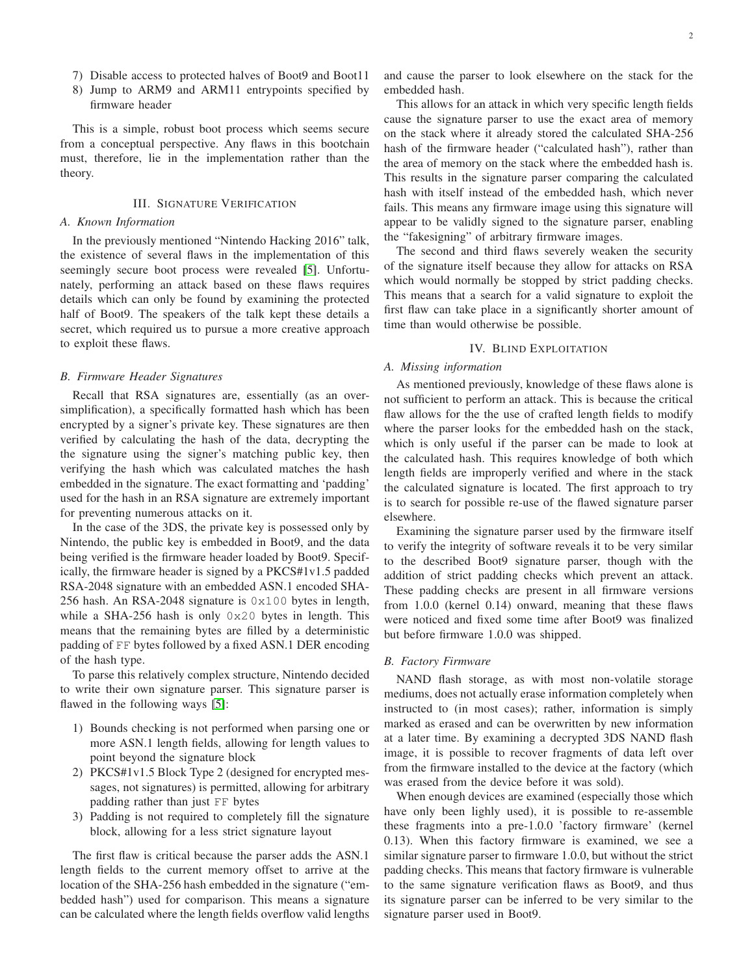- 7) Disable access to protected halves of Boot9 and Boot11
- 8) Jump to ARM9 and ARM11 entrypoints specified by firmware header

This is a simple, robust boot process which seems secure from a conceptual perspective. Any flaws in this bootchain must, therefore, lie in the implementation rather than the theory.

## III. SIGNATURE VERIFICATION

# *A. Known Information*

In the previously mentioned "Nintendo Hacking 2016" talk, the existence of several flaws in the implementation of this seemingly secure boot process were revealed [\[5\]](#page-4-4). Unfortunately, performing an attack based on these flaws requires details which can only be found by examining the protected half of Boot9. The speakers of the talk kept these details a secret, which required us to pursue a more creative approach to exploit these flaws.

#### *B. Firmware Header Signatures*

Recall that RSA signatures are, essentially (as an oversimplification), a specifically formatted hash which has been encrypted by a signer's private key. These signatures are then verified by calculating the hash of the data, decrypting the the signature using the signer's matching public key, then verifying the hash which was calculated matches the hash embedded in the signature. The exact formatting and 'padding' used for the hash in an RSA signature are extremely important for preventing numerous attacks on it.

In the case of the 3DS, the private key is possessed only by Nintendo, the public key is embedded in Boot9, and the data being verified is the firmware header loaded by Boot9. Specifically, the firmware header is signed by a PKCS#1v1.5 padded RSA-2048 signature with an embedded ASN.1 encoded SHA-256 hash. An RSA-2048 signature is 0x100 bytes in length, while a SHA-256 hash is only 0x20 bytes in length. This means that the remaining bytes are filled by a deterministic padding of FF bytes followed by a fixed ASN.1 DER encoding of the hash type.

To parse this relatively complex structure, Nintendo decided to write their own signature parser. This signature parser is flawed in the following ways [\[5\]](#page-4-4):

- 1) Bounds checking is not performed when parsing one or more ASN.1 length fields, allowing for length values to point beyond the signature block
- 2) PKCS#1v1.5 Block Type 2 (designed for encrypted messages, not signatures) is permitted, allowing for arbitrary padding rather than just FF bytes
- 3) Padding is not required to completely fill the signature block, allowing for a less strict signature layout

The first flaw is critical because the parser adds the ASN.1 length fields to the current memory offset to arrive at the location of the SHA-256 hash embedded in the signature ("embedded hash") used for comparison. This means a signature can be calculated where the length fields overflow valid lengths and cause the parser to look elsewhere on the stack for the embedded hash.

This allows for an attack in which very specific length fields cause the signature parser to use the exact area of memory on the stack where it already stored the calculated SHA-256 hash of the firmware header ("calculated hash"), rather than the area of memory on the stack where the embedded hash is. This results in the signature parser comparing the calculated hash with itself instead of the embedded hash, which never fails. This means any firmware image using this signature will appear to be validly signed to the signature parser, enabling the "fakesigning" of arbitrary firmware images.

The second and third flaws severely weaken the security of the signature itself because they allow for attacks on RSA which would normally be stopped by strict padding checks. This means that a search for a valid signature to exploit the first flaw can take place in a significantly shorter amount of time than would otherwise be possible.

# IV. BLIND EXPLOITATION

# *A. Missing information*

As mentioned previously, knowledge of these flaws alone is not sufficient to perform an attack. This is because the critical flaw allows for the the use of crafted length fields to modify where the parser looks for the embedded hash on the stack, which is only useful if the parser can be made to look at the calculated hash. This requires knowledge of both which length fields are improperly verified and where in the stack the calculated signature is located. The first approach to try is to search for possible re-use of the flawed signature parser elsewhere.

Examining the signature parser used by the firmware itself to verify the integrity of software reveals it to be very similar to the described Boot9 signature parser, though with the addition of strict padding checks which prevent an attack. These padding checks are present in all firmware versions from 1.0.0 (kernel 0.14) onward, meaning that these flaws were noticed and fixed some time after Boot9 was finalized but before firmware 1.0.0 was shipped.

## *B. Factory Firmware*

NAND flash storage, as with most non-volatile storage mediums, does not actually erase information completely when instructed to (in most cases); rather, information is simply marked as erased and can be overwritten by new information at a later time. By examining a decrypted 3DS NAND flash image, it is possible to recover fragments of data left over from the firmware installed to the device at the factory (which was erased from the device before it was sold).

When enough devices are examined (especially those which have only been lighly used), it is possible to re-assemble these fragments into a pre-1.0.0 'factory firmware' (kernel 0.13). When this factory firmware is examined, we see a similar signature parser to firmware 1.0.0, but without the strict padding checks. This means that factory firmware is vulnerable to the same signature verification flaws as Boot9, and thus its signature parser can be inferred to be very similar to the signature parser used in Boot9.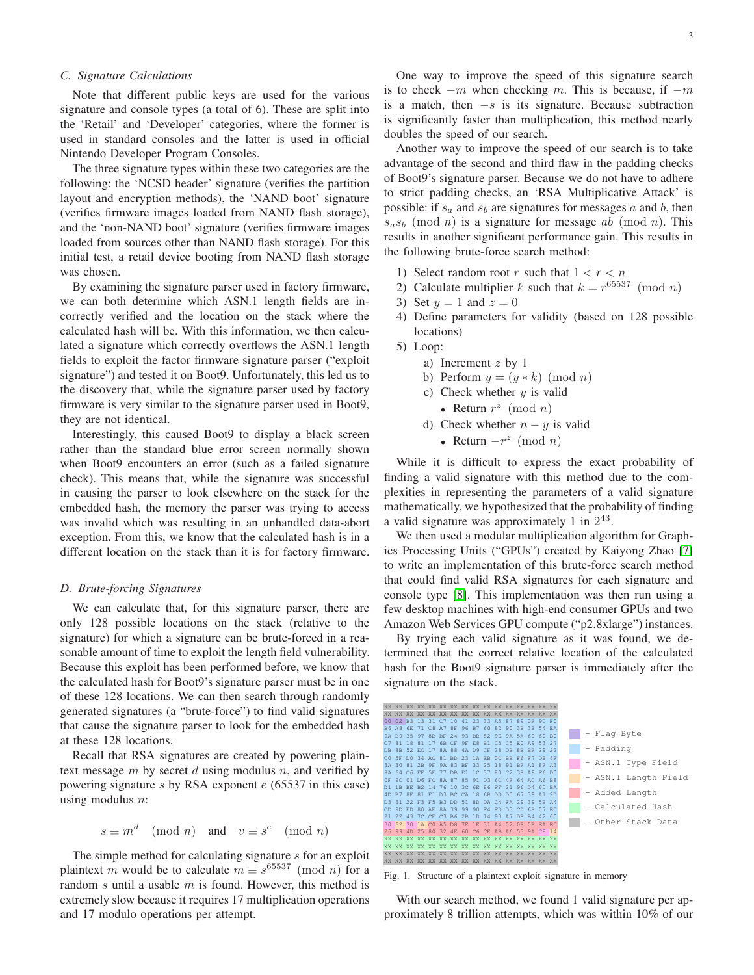# *C. Signature Calculations*

Note that different public keys are used for the various signature and console types (a total of 6). These are split into the 'Retail' and 'Developer' categories, where the former is used in standard consoles and the latter is used in official Nintendo Developer Program Consoles.

The three signature types within these two categories are the following: the 'NCSD header' signature (verifies the partition layout and encryption methods), the 'NAND boot' signature (verifies firmware images loaded from NAND flash storage), and the 'non-NAND boot' signature (verifies firmware images loaded from sources other than NAND flash storage). For this initial test, a retail device booting from NAND flash storage was chosen.

By examining the signature parser used in factory firmware, we can both determine which ASN.1 length fields are incorrectly verified and the location on the stack where the calculated hash will be. With this information, we then calculated a signature which correctly overflows the ASN.1 length fields to exploit the factor firmware signature parser ("exploit signature") and tested it on Boot9. Unfortunately, this led us to the discovery that, while the signature parser used by factory firmware is very similar to the signature parser used in Boot9, they are not identical.

Interestingly, this caused Boot9 to display a black screen rather than the standard blue error screen normally shown when Boot9 encounters an error (such as a failed signature check). This means that, while the signature was successful in causing the parser to look elsewhere on the stack for the embedded hash, the memory the parser was trying to access was invalid which was resulting in an unhandled data-abort exception. From this, we know that the calculated hash is in a different location on the stack than it is for factory firmware.

# *D. Brute-forcing Signatures*

We can calculate that, for this signature parser, there are only 128 possible locations on the stack (relative to the signature) for which a signature can be brute-forced in a reasonable amount of time to exploit the length field vulnerability. Because this exploit has been performed before, we know that the calculated hash for Boot9's signature parser must be in one of these 128 locations. We can then search through randomly generated signatures (a "brute-force") to find valid signatures that cause the signature parser to look for the embedded hash at these 128 locations.

Recall that RSA signatures are created by powering plaintext message  $m$  by secret  $d$  using modulus  $n$ , and verified by powering signature s by RSA exponent  $e$  (65537 in this case) using modulus  $n$ :

$$
s \equiv m^d \pmod{n} \quad \text{and} \quad v \equiv s^e \pmod{n}
$$

The simple method for calculating signature s for an exploit plaintext m would be to calculate  $m \equiv s^{65537} \pmod{n}$  for a random  $s$  until a usable  $m$  is found. However, this method is extremely slow because it requires 17 multiplication operations and 17 modulo operations per attempt.

One way to improve the speed of this signature search is to check  $-m$  when checking m. This is because, if  $-m$ is a match, then  $-s$  is its signature. Because subtraction is significantly faster than multiplication, this method nearly doubles the speed of our search.

Another way to improve the speed of our search is to take advantage of the second and third flaw in the padding checks of Boot9's signature parser. Because we do not have to adhere to strict padding checks, an 'RSA Multiplicative Attack' is possible: if  $s_a$  and  $s_b$  are signatures for messages a and b, then  $s_as_b \pmod{n}$  is a signature for message ab (mod n). This results in another significant performance gain. This results in the following brute-force search method:

- 1) Select random root r such that  $1 < r < n$
- 2) Calculate multiplier k such that  $k = r^{65537} \pmod{n}$
- 3) Set  $y = 1$  and  $z = 0$
- 4) Define parameters for validity (based on 128 possible locations)
- 5) Loop:
	- a) Increment z by 1
	- b) Perform  $y = (y * k) \pmod{n}$
	- c) Check whether  $y$  is valid
		- Return  $r^z \pmod{n}$
	- d) Check whether  $n y$  is valid
		- Return  $-r^z \pmod{n}$

While it is difficult to express the exact probability of finding a valid signature with this method due to the complexities in representing the parameters of a valid signature mathematically, we hypothesized that the probability of finding a valid signature was approximately 1 in  $2^{43}$ .

We then used a modular multiplication algorithm for Graphics Processing Units ("GPUs") created by Kaiyong Zhao [\[7\]](#page-4-6) to write an implementation of this brute-force search method that could find valid RSA signatures for each signature and console type [\[8\]](#page-4-7). This implementation was then run using a few desktop machines with high-end consumer GPUs and two Amazon Web Services GPU compute ("p2.8xlarge") instances.

By trying each valid signature as it was found, we determined that the correct relative location of the calculated hash for the Boot9 signature parser is immediately after the signature on the stack.



Fig. 1. Structure of a plaintext exploit signature in memory

With our search method, we found 1 valid signature per approximately 8 trillion attempts, which was within 10% of our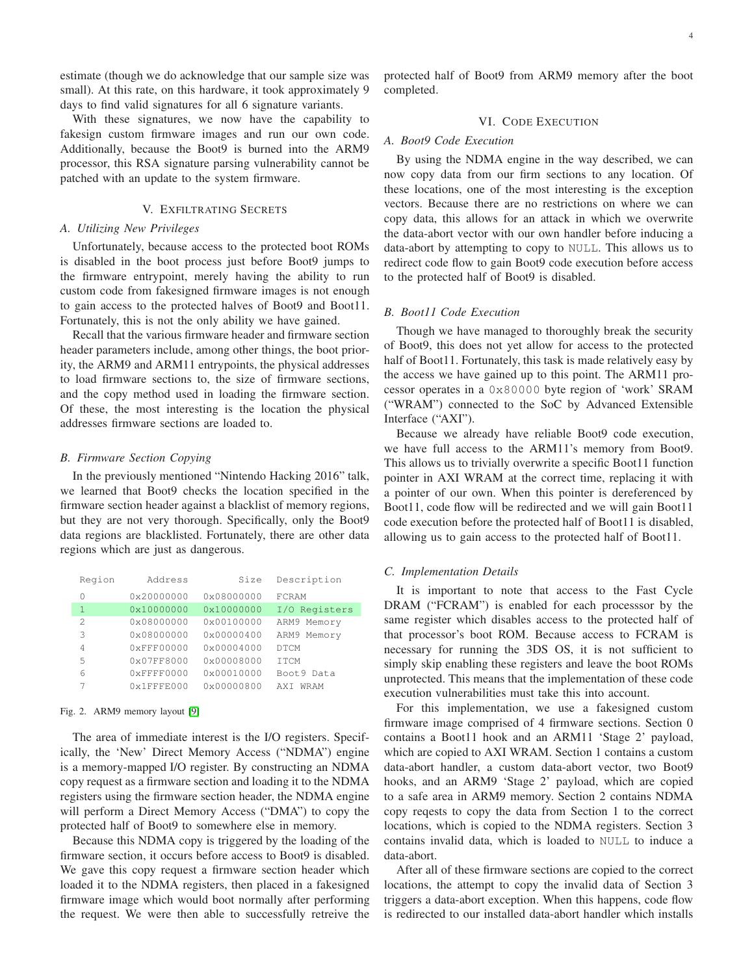estimate (though we do acknowledge that our sample size was small). At this rate, on this hardware, it took approximately 9 days to find valid signatures for all 6 signature variants.

With these signatures, we now have the capability to fakesign custom firmware images and run our own code. Additionally, because the Boot9 is burned into the ARM9 processor, this RSA signature parsing vulnerability cannot be patched with an update to the system firmware.

# V. EXFILTRATING SECRETS

# *A. Utilizing New Privileges*

Unfortunately, because access to the protected boot ROMs is disabled in the boot process just before Boot9 jumps to the firmware entrypoint, merely having the ability to run custom code from fakesigned firmware images is not enough to gain access to the protected halves of Boot9 and Boot11. Fortunately, this is not the only ability we have gained.

Recall that the various firmware header and firmware section header parameters include, among other things, the boot priority, the ARM9 and ARM11 entrypoints, the physical addresses to load firmware sections to, the size of firmware sections, and the copy method used in loading the firmware section. Of these, the most interesting is the location the physical addresses firmware sections are loaded to.

#### *B. Firmware Section Copying*

In the previously mentioned "Nintendo Hacking 2016" talk, we learned that Boot9 checks the location specified in the firmware section header against a blacklist of memory regions, but they are not very thorough. Specifically, only the Boot9 data regions are blacklisted. Fortunately, there are other data regions which are just as dangerous.

| Region        | Address              | Size                | Description   |
|---------------|----------------------|---------------------|---------------|
| 0             | $0 \times 20000000$  | $0 \times 08000000$ | FCRAM         |
| 1             | $0 \times 10000000$  | $0 \times 10000000$ | I/O Registers |
| $\mathcal{D}$ | 0x08000000           | $0 \times 00100000$ | ARM9 Memory   |
| 3             | $0 \times 08000000$  | $0 \times 00000400$ | ARM9 Memory   |
| 4             | 0xFFF00000           | $0 \times 00004000$ | <b>DTCM</b>   |
| 5             | $0 \times 07$ FF8000 | $0 \times 00008000$ | <b>TTCM</b>   |
| 6             | $0x$ FFFF0000        | 0x00010000          | Boot9 Data    |
|               | $0x1$ FFFE000        | $0 \times 00000800$ | WRAM<br>AXT   |

# Fig. 2. ARM9 memory layout [\[9\]](#page-4-8)

The area of immediate interest is the I/O registers. Specifically, the 'New' Direct Memory Access ("NDMA") engine is a memory-mapped I/O register. By constructing an NDMA copy request as a firmware section and loading it to the NDMA registers using the firmware section header, the NDMA engine will perform a Direct Memory Access ("DMA") to copy the protected half of Boot9 to somewhere else in memory.

Because this NDMA copy is triggered by the loading of the firmware section, it occurs before access to Boot9 is disabled. We gave this copy request a firmware section header which loaded it to the NDMA registers, then placed in a fakesigned firmware image which would boot normally after performing the request. We were then able to successfully retreive the

protected half of Boot9 from ARM9 memory after the boot completed.

# VI. CODE EXECUTION

# *A. Boot9 Code Execution*

By using the NDMA engine in the way described, we can now copy data from our firm sections to any location. Of these locations, one of the most interesting is the exception vectors. Because there are no restrictions on where we can copy data, this allows for an attack in which we overwrite the data-abort vector with our own handler before inducing a data-abort by attempting to copy to NULL. This allows us to redirect code flow to gain Boot9 code execution before access to the protected half of Boot9 is disabled.

# *B. Boot11 Code Execution*

Though we have managed to thoroughly break the security of Boot9, this does not yet allow for access to the protected half of Boot11. Fortunately, this task is made relatively easy by the access we have gained up to this point. The ARM11 processor operates in a 0x80000 byte region of 'work' SRAM ("WRAM") connected to the SoC by Advanced Extensible Interface ("AXI").

Because we already have reliable Boot9 code execution, we have full access to the ARM11's memory from Boot9. This allows us to trivially overwrite a specific Boot11 function pointer in AXI WRAM at the correct time, replacing it with a pointer of our own. When this pointer is dereferenced by Boot11, code flow will be redirected and we will gain Boot11 code execution before the protected half of Boot11 is disabled, allowing us to gain access to the protected half of Boot11.

#### *C. Implementation Details*

It is important to note that access to the Fast Cycle DRAM ("FCRAM") is enabled for each processsor by the same register which disables access to the protected half of that processor's boot ROM. Because access to FCRAM is necessary for running the 3DS OS, it is not sufficient to simply skip enabling these registers and leave the boot ROMs unprotected. This means that the implementation of these code execution vulnerabilities must take this into account.

For this implementation, we use a fakesigned custom firmware image comprised of 4 firmware sections. Section 0 contains a Boot11 hook and an ARM11 'Stage 2' payload, which are copied to AXI WRAM. Section 1 contains a custom data-abort handler, a custom data-abort vector, two Boot9 hooks, and an ARM9 'Stage 2' payload, which are copied to a safe area in ARM9 memory. Section 2 contains NDMA copy reqests to copy the data from Section 1 to the correct locations, which is copied to the NDMA registers. Section 3 contains invalid data, which is loaded to NULL to induce a data-abort.

After all of these firmware sections are copied to the correct locations, the attempt to copy the invalid data of Section 3 triggers a data-abort exception. When this happens, code flow is redirected to our installed data-abort handler which installs